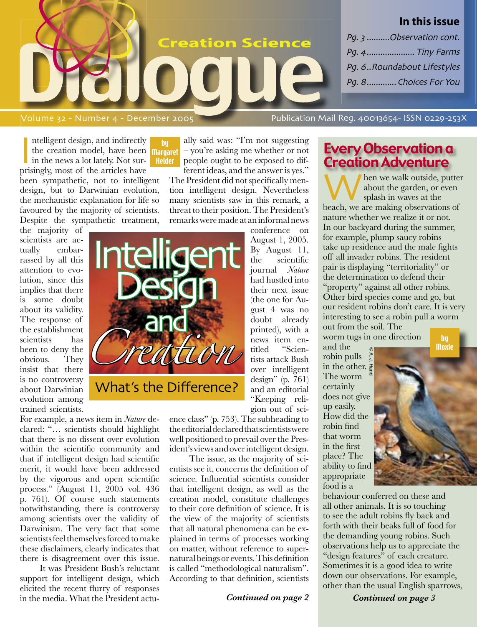

Intelligent design, and indirectly<br>the creation model, have been<br>in the news a lot lately. Not sur-<br>prisingly, most of the articles have ntelligent design, and indirectly the creation model, have been in the news a lot lately. Not surbeen sympathetic, not to intelligent design, but to Darwinian evolution, the mechanistic explanation for life so favoured by the majority of scientists. Despite the sympathetic treatment, by

the majority of scientists are actually embarrassed by all this attention to evolution, since this implies that there is some doubt about its validity. The response of the establishment scientists has been to deny the obvious. They insist that there is no controversy about Darwinian evolution among trained scientists.



ally said was: "I'm not suggesting – you're asking me whether or not people ought to be exposed to different ideas, and the answer is yes."

The President did not specifically mention intelligent design. Nevertheless many scientists saw in this remark, a threat to their position. The President's remarks were made at an informal news conference on

August 1, 2005.

gion out of sci-

By August 11, the scientific journal *Nature* had hustled into their next issue (the one for August 4 was no doubt already printed), with a news item entitled "Scientists attack Bush over intelligent design" (p. 761) and an editorial "Keeping reli-

ence class" (p. 753). The subheading to the editorial declared that scientists were well positioned to prevail over the President's views and over intelligent design.

The issue, as the majority of scientists see it, concerns the definition of science. Influential scientists consider that intelligent design, as well as the creation model, constitute challenges to their core definition of science. It is the view of the majority of scientists that all natural phenomena can be explained in terms of processes working on matter, without reference to supernatural beings or events. This definition is called "methodological naturalism". According to that definition, scientists

*Continued on page 2*

## Every Observation a Creation Adventure

When we walk outside, putter<br>about the garden, or even<br>beach, we are making observations of about the garden, or even splash in waves at the nature whether we realize it or not. In our backyard during the summer, for example, plump saucy robins take up residence and the male fights off all invader robins. The resident pair is displaying "territoriality" or the determination to defend their "property" against all other robins. Other bird species come and go, but our resident robins don't care. It is very interesting to see a robin pull a worm out from the soil. The by

**Moxie** 

worm tugs in one direction

and the robin pulls in the other.  $\frac{1}{2}$ The worm certainly does not give up easily. How did the robin find that worm in the first place? The ability to find appropriate food is a © A. J. Hand

behaviour conferred on these and all other animals. It is so touching to see the adult robins fly back and forth with their beaks full of food for the demanding young robins. Such observations help us to appreciate the "design features" of each creature. Sometimes it is a good idea to write down our observations. For example, other than the usual English sparrows,

 *Continued on page 3*



For example, a news item in *Nature* declared: "… scientists should highlight that there is no dissent over evolution within the scientific community and that if intelligent design had scientific merit, it would have been addressed by the vigorous and open scientific process." (August 11, 2005 vol. 436 p. 761). Of course such statements notwithstanding, there is controversy among scientists over the validity of Darwinism. The very fact that some scientists feel themselves forced to make these disclaimers, clearly indicates that there is disagreement over this issue.

It was President Bush's reluctant support for intelligent design, which elicited the recent flurry of responses in the media. What the President actu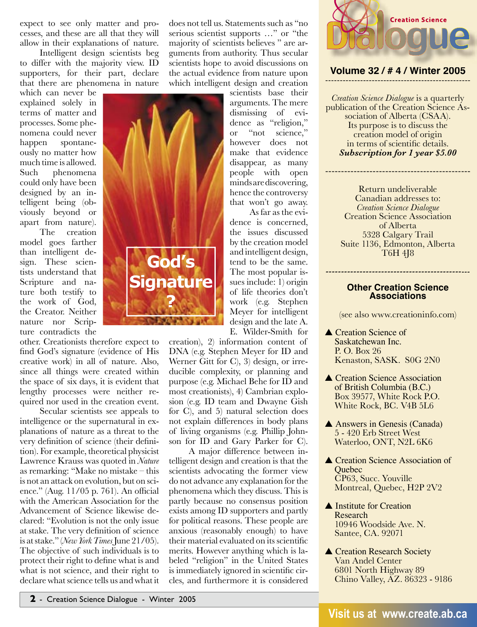expect to see only matter and processes, and these are all that they will allow in their explanations of nature.

Intelligent design scientists beg to differ with the majority view. ID supporters, for their part, declare that there are phenomena in nature

which can never be explained solely in terms of matter and processes. Some phenomena could never happen spontaneously no matter how much time is allowed. Such phenomena could only have been designed by an intelligent being (obviously beyond or apart from nature).

The creation model goes farther than intelligent design. These scientists understand that Scripture and nature both testify to the work of God, the Creator. Neither nature nor Scripture contradicts the

other. Creationists therefore expect to find God's signature (evidence of His creative work) in all of nature. Also, since all things were created within the space of six days, it is evident that lengthy processes were neither required nor used in the creation event.

Secular scientists see appeals to intelligence or the supernatural in explanations of nature as a threat to the very definition of science (their definition). For example, theoretical physicist Lawrence Krauss was quoted in *Nature* as remarking: "Make no mistake – this is not an attack on evolution, but on science." (Aug. 11/05 p. 761). An official with the American Association for the Advancement of Science likewise declared: "Evolution is not the only issue at stake. The very definition of science is at stake." (*New York Times* June 21/05). The objective of such individuals is to protect their right to define what is and what is not science, and their right to declare what science tells us and what it does not tell us. Statements such as "no serious scientist supports …" or "the majority of scientists believes " are arguments from authority. Thus secular scientists hope to avoid discussions on the actual evidence from nature upon which intelligent design and creation

scientists base their arguments. The mere dismissing of evidence as "religion," or "not science," however does not make that evidence disappear, as many people with open minds are discovering, hence the controversy that won't go away.

As far as the evidence is concerned, the issues discussed by the creation model and intelligent design, tend to be the same. The most popular issues include: 1) origin of life theories don't work (e.g. Stephen Meyer for intelligent design and the late A. E. Wilder-Smith for

creation), 2) information content of DNA (e.g. Stephen Meyer for ID and Werner Gitt for C), 3) design, or irreducible complexity, or planning and purpose (e.g. Michael Behe for ID and most creationists), 4) Cambrian explosion (e.g. ID team and Dwayne Gish for C), and 5) natural selection does not explain differences in body plans of living organisms (e.g. Phillip Johnson for ID and Gary Parker for C).

**God's**

**Signature** 

**?**

A major difference between intelligent design and creation is that the scientists advocating the former view do not advance any explanation for the phenomena which they discuss. This is partly because no consensus position exists among ID supporters and partly for political reasons. These people are anxious (reasonably enough) to have their material evaluated on its scientific merits. However anything which is labeled "religion" in the United States is immediately ignored in scientific circles, and furthermore it is considered



### **Volume 32 / # 4 / Winter 2005** --------------------------------------------------

*Creation Science Dialogue* is a quarterly publication of the Creation Science Association of Alberta (CSAA). Its purpose is to discuss the creation model of origin in terms of scientific details. *Subscription for 1 year \$5.00*

----------------------------------------------

Return undeliverable Canadian addresses to: *Creation Science Dialogue* Creation Science Association of Alberta 5328 Calgary Trail Suite 1136, Edmonton, Alberta T6H 4J8

#### **Other Creation Science Associations**

*-----------------------------------------------*

(see also www.creationinfo.com)

- ▲ Creation Science of Saskatchewan Inc. P. O. Box 26 Kenaston, SASK. S0G 2N0
- ▲ Creation Science Association of British Columbia (B.C.) Box 39577, White Rock P.O. White Rock, BC. V4B 5L6
- ▲ Answers in Genesis (Canada) 5 - 420 Erb Street West Waterloo, ONT, N2L 6K6
- ▲ Creation Science Association of **Ouebec**  CP63, Succ. Youville Montreal, Quebec, H2P 2V2
- **▲ Institute for Creation** Research 10946 Woodside Ave. N. Santee, CA. 92071
- ▲ Creation Research Society Van Andel Center 6801 North Highway 89 Chino Valley, AZ. 86323 - 9186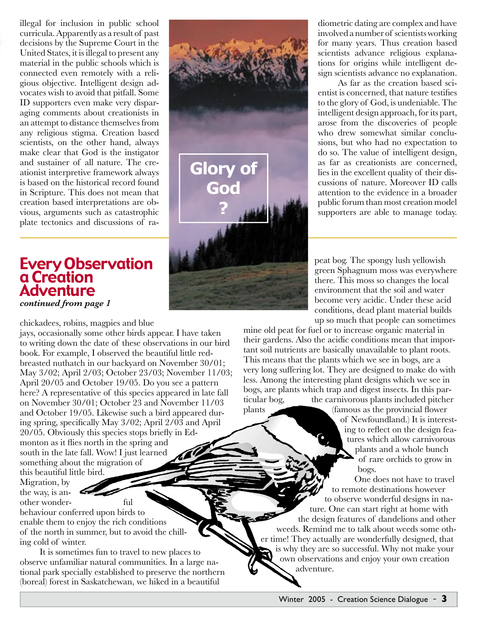illegal for inclusion in public school curricula. Apparently as a result of past decisions by the Supreme Court in the United States, it is illegal to present any material in the public schools which is connected even remotely with a religious objective. Intelligent design advocates wish to avoid that pitfall. Some ID supporters even make very disparaging comments about creationists in an attempt to distance themselves from any religious stigma. Creation based scientists, on the other hand, always make clear that God is the instigator and sustainer of all nature. The creationist interpretive framework always is based on the historical record found in Scripture. This does not mean that creation based interpretations are obvious, arguments such as catastrophic plate tectonics and discussions of ra-

## Every Observation a Creation Adventure *continued from page 1*

chickadees, robins, magpies and blue

jays, occasionally some other birds appear. I have taken to writing down the date of these observations in our bird book. For example, I observed the beautiful little redbreasted nuthatch in our backyard on November 30/01; May 3/02; April 2/03; October 23/03; November 11/03; April 20/05 and October 19/05. Do you see a pattern here? A representative of this species appeared in late fall on November 30/01; October 23 and November 11/03 and October 19/05. Likewise such a bird appeared during spring, specifically May 3/02; April 2/03 and April 20/05. Obviously this species stops briefly in Edmonton as it flies north in the spring and south in the late fall. Wow! I just learned something about the migration of this beautiful little bird.

Migration, by the way, is another wonder- ful

behaviour conferred upon birds to enable them to enjoy the rich conditions of the north in summer, but to avoid the chilling cold of winter.

It is sometimes fun to travel to new places to observe unfamiliar natural communities. In a large national park specially established to preserve the northern (boreal) forest in Saskatchewan, we hiked in a beautiful



diometric dating are complex and have involved a number of scientists working for many years. Thus creation based scientists advance religious explanations for origins while intelligent design scientists advance no explanation.

As far as the creation based scientist is concerned, that nature testifies to the glory of God, is undeniable. The intelligent design approach, for its part, arose from the discoveries of people who drew somewhat similar conclusions, but who had no expectation to do so. The value of intelligent design, as far as creationists are concerned, lies in the excellent quality of their discussions of nature. Moreover ID calls attention to the evidence in a broader public forum than most creation model supporters are able to manage today.

peat bog. The spongy lush yellowish green Sphagnum moss was everywhere there. This moss so changes the local environment that the soil and water become very acidic. Under these acid conditions, dead plant material builds up so much that people can sometimes

mine old peat for fuel or to increase organic material in their gardens. Also the acidic conditions mean that important soil nutrients are basically unavailable to plant roots. This means that the plants which we see in bogs, are a very long suffering lot. They are designed to make do with less. Among the interesting plant designs which we see in bogs, are plants which trap and digest insects. In this particular bog, the carnivorous plants included pitcher<br>plants (famous as the provincial flower

(famous as the provincial flower) of Newfoundland.) It is interesting to reflect on the design features which allow carnivorous plants and a whole bunch of rare orchids to grow in bogs.

One does not have to travel to remote destinations however to observe wonderful designs in nature. One can start right at home with the design features of dandelions and other weeds. Remind me to talk about weeds some other time! They actually are wonderfully designed, that is why they are so successful. Why not make your own observations and enjoy your own creation adventure.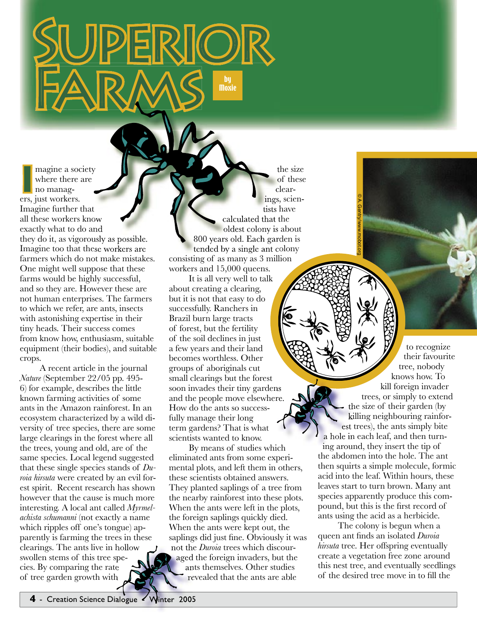**I** ers, just workers. magine a society where there are no manag-Imagine further that all these workers know exactly what to do and they do it, as vigorously as possible. Imagine too that these workers are farmers which do not make mistakes. One might well suppose that these farms would be highly successful, and so they are. However these are not human enterprises. The farmers to which we refer, are ants, insects with astonishing expertise in their tiny heads. Their success comes from know how, enthusiasm, suitable equipment (their bodies), and suitable crops.

SUPERIOR

FARMS

A recent article in the journal *Nature* (September 22/05 pp. 495- 6) for example, describes the little known farming activities of some ants in the Amazon rainforest. In an ecosystem characterized by a wild diversity of tree species, there are some large clearings in the forest where all the trees, young and old, are of the same species. Local legend suggested that these single species stands of *Duroia hirsuta* were created by an evil forest spirit. Recent research has shown however that the cause is much more interesting. A local ant called *Myrmelachista schumanni* (not exactly a name which ripples off one's tongue) apparently is farming the trees in these clearings. The ants live in hollow swollen stems of this tree spe-<br>cies. By comparing the rate<br>of tree garden growth with cies. By comparing the rate of tree garden growth with

the size of these clearings, scientists have calculated that the oldest colony is about 800 years old. Each garden is tended by a single ant colony consisting of as many as 3 million workers and 15,000 queens. of by

by<br>Moxie

It is all very well to talk about creating a clearing, but it is not that easy to do successfully. Ranchers in Brazil burn large tracts of forest, but the fertility of the soil declines in just a few years and their land becomes worthless. Other groups of aboriginals cut small clearings but the forest soon invades their tiny gardens and the people move elsewhere. How do the ants so successfully manage their long term gardens? That is what scientists wanted to know.

By means of studies which eliminated ants from some experimental plots, and left them in others, these scientists obtained answers. They planted saplings of a tree from the nearby rainforest into these plots. When the ants were left in the plots, the foreign saplings quickly died. When the ants were kept out, the saplings did just fine. Obviously it was not the *Duroia* trees which discouraged the foreign invaders, but the ants themselves. Other studies revealed that the ants are able

to recognize their favourite tree, nobody knows how. To kill foreign invader trees, or simply to extend the size of their garden (by killing neighbouring rainforest trees), the ants simply bite a hole in each leaf, and then turning around, they insert the tip of the abdomen into the hole. The ant then squirts a simple molecule, formic acid into the leaf. Within hours, these leaves start to turn brown. Many ant species apparently produce this compound, but this is the first record of ants using the acid as a herbicide. s so success-<br>
eir long<br>
That is what<br>
the size of their garden (killing neighbouring raint<br>
est trees), the ants simply bi<br>
a hole in each leaf, and then turn<br>
of studies which<br>
ing around, they insert the tip of

© A. Gentry/www.mobot.org

The colony is begun when a queen ant finds an isolated *Duroia hirsuta* tree. Her offspring eventually create a vegetation free zone around this nest tree, and eventually seedlings of the desired tree move in to fill the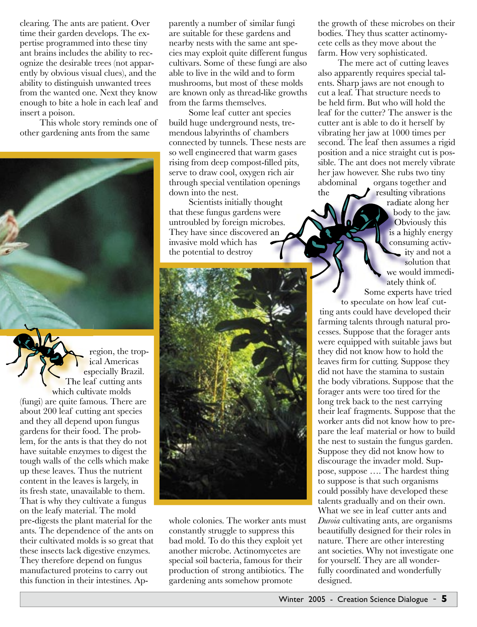clearing. The ants are patient. Over time their garden develops. The expertise programmed into these tiny ant brains includes the ability to recognize the desirable trees (not apparently by obvious visual clues), and the ability to distinguish unwanted trees from the wanted one. Next they know enough to bite a hole in each leaf and insert a poison.

This whole story reminds one of other gardening ants from the same

region, the tropical Americas especially Brazil. The leaf cutting ants which cultivate molds (fungi) are quite famous. There are about 200 leaf cutting ant species and they all depend upon fungus gardens for their food. The problem, for the ants is that they do not have suitable enzymes to digest the tough walls of the cells which make up these leaves. Thus the nutrient content in the leaves is largely, in its fresh state, unavailable to them. That is why they cultivate a fungus on the leafy material. The mold pre-digests the plant material for the ants. The dependence of the ants on their cultivated molds is so great that these insects lack digestive enzymes. They therefore depend on fungus manufactured proteins to carry out this function in their intestines. Apparently a number of similar fungi are suitable for these gardens and nearby nests with the same ant species may exploit quite different fungus cultivars. Some of these fungi are also able to live in the wild and to form mushrooms, but most of these molds are known only as thread-like growths from the farms themselves.

Some leaf cutter ant species build huge underground nests, tremendous labyrinths of chambers connected by tunnels. These nests are so well engineered that warm gases rising from deep compost-filled pits, serve to draw cool, oxygen rich air through special ventilation openings down into the nest.

Scientists initially thought that these fungus gardens were untroubled by foreign microbes. They have since discovered an invasive mold which has the potential to destroy



whole colonies. The worker ants must constantly struggle to suppress this bad mold. To do this they exploit yet another microbe. Actinomycetes are special soil bacteria, famous for their production of strong antibiotics. The gardening ants somehow promote

the growth of these microbes on their bodies. They thus scatter actinomycete cells as they move about the farm. How very sophisticated.

The mere act of cutting leaves also apparently requires special talents. Sharp jaws are not enough to cut a leaf. That structure needs to be held firm. But who will hold the leaf for the cutter? The answer is the cutter ant is able to do it herself by vibrating her jaw at 1000 times per second. The leaf then assumes a rigid position and a nice straight cut is possible. The ant does not merely vibrate her jaw however. She rubs two tiny abdominal organs together and the  $\overline{\phantom{a}}$  resulting vibrations

radiate along her body to the jaw. Obviously this is a highly energy consuming activity and not a solution that we would immediately think of. Some experts have tried

to speculate on how leaf cutting ants could have developed their farming talents through natural processes. Suppose that the forager ants were equipped with suitable jaws but they did not know how to hold the leaves firm for cutting. Suppose they did not have the stamina to sustain the body vibrations. Suppose that the forager ants were too tired for the long trek back to the nest carrying their leaf fragments. Suppose that the worker ants did not know how to prepare the leaf material or how to build the nest to sustain the fungus garden. Suppose they did not know how to discourage the invader mold. Suppose, suppose …. The hardest thing to suppose is that such organisms could possibly have developed these talents gradually and on their own. What we see in leaf cutter ants and *Duroia* cultivating ants, are organisms beautifully designed for their roles in nature. There are other interesting ant societies. Why not investigate one for yourself. They are all wonderfully coordinated and wonderfully designed.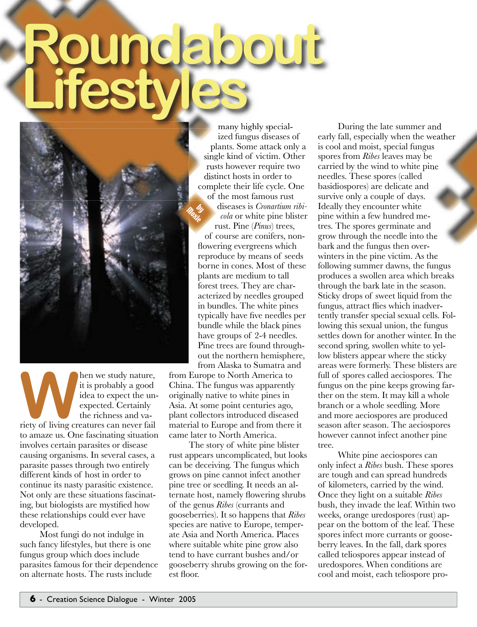# Roundabout<br> **CSLY**<br> **CSLY**<br> **CSLY**<br> **CSLY**<br> **CSLY**<br> **CSLY**<br> **CSLY**<br> **CSS**<br> **CSLY**<br> **CSS**<br> **CSLY**<br> **CSS**<br> **CSS**<br> **CSS**<br> **CSS**<br> **CSS**<br> **CSS**<br> **COLICS**<br> **CSS**<br> **CSS**<br> **COLICS**<br> **CSS**<br> **COLICS**<br> **CSS**<br> **COLICS**<br> **CSS**<br> **COLICS Lifestyles**

b,  $\eta$ y oste

**WALKERT SERVIER SERVIER SERVIER SERVIER SERVIER SERVIER SERVIER SERVIER SERVIER SERVIER SERVIER SERVIER SERVIER SERVIER SERVIER SERVIER SERVIER SERVIER SERVIER SERVIER SERVIER SERVIER SERVIER SERVIER SERVIER SERVIER SERVI** it is probably a good idea to expect the unexpected. Certainly the richness and vato amaze us. One fascinating situation involves certain parasites or disease causing organisms. In several cases, a parasite passes through two entirely different kinds of host in order to continue its nasty parasitic existence. Not only are these situations fascinating, but biologists are mystified how these relationships could ever have developed.

Most fungi do not indulge in such fancy lifestyles, but there is one fungus group which does include parasites famous for their dependence on alternate hosts. The rusts include

many highly specialized fungus diseases of plants. Some attack only a single kind of victim. Other rusts however require two distinct hosts in order to complete their life cycle. One of the most famous rust

diseases is *Cronartium ribicola* or white pine blister rust. Pine (*Pinus*) trees,

of course are conifers, nonflowering evergreens which reproduce by means of seeds borne in cones. Most of these plants are medium to tall forest trees. They are characterized by needles grouped in bundles. The white pines typically have five needles per bundle while the black pines have groups of 2-4 needles. Pine trees are found throughout the northern hemisphere, from Alaska to Sumatra and

from Europe to North America to China. The fungus was apparently originally native to white pines in Asia. At some point centuries ago, plant collectors introduced diseased material to Europe and from there it came later to North America.

The story of white pine blister rust appears uncomplicated, but looks can be deceiving. The fungus which grows on pine cannot infect another pine tree or seedling. It needs an alternate host, namely flowering shrubs of the genus *Ribes* (currants and gooseberries). It so happens that *Ribes* species are native to Europe, temperate Asia and North America. Places where suitable white pine grow also tend to have currant bushes and/or gooseberry shrubs growing on the forest floor.

During the late summer and early fall, especially when the weather is cool and moist, special fungus spores from *Ribes* leaves may be carried by the wind to white pine needles. These spores (called basidiospores) are delicate and survive only a couple of days. Ideally they encounter white pine within a few hundred metres. The spores germinate and grow through the needle into the bark and the fungus then overwinters in the pine victim. As the following summer dawns, the fungus produces a swollen area which breaks through the bark late in the season. Sticky drops of sweet liquid from the fungus, attract flies which inadvertently transfer special sexual cells. Following this sexual union, the fungus settles down for another winter. In the second spring, swollen white to yellow blisters appear where the sticky areas were formerly. These blisters are full of spores called aeciospores. The fungus on the pine keeps growing farther on the stem. It may kill a whole branch or a whole seedling. More and more aeciospores are produced season after season. The aeciospores however cannot infect another pine tree.

White pine aeciospores can only infect a *Ribes* bush. These spores are tough and can spread hundreds of kilometers, carried by the wind. Once they light on a suitable *Ribes* bush, they invade the leaf. Within two weeks, orange uredospores (rust) appear on the bottom of the leaf. These spores infect more currants or gooseberry leaves. In the fall, dark spores called teliospores appear instead of uredospores. When conditions are cool and moist, each teliospore pro-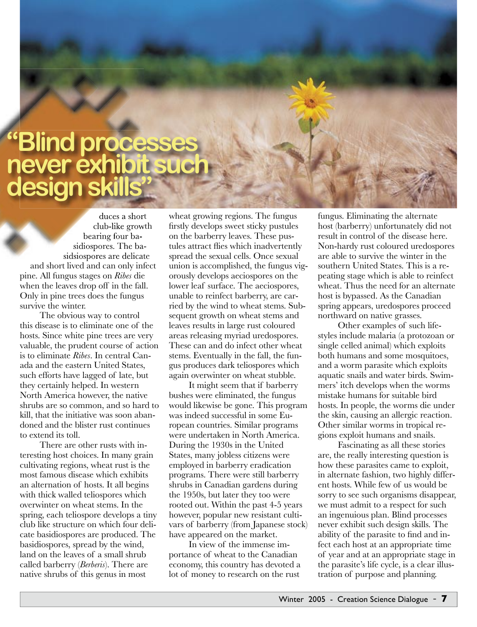# club-like bearing sidiospores. sidsiospores **"Blind processes never exhibit su design ski**

duces a short club-like growth bearing four basidiospores. The basidsiospores are delicate and short lived and can only infect pine. All fungus stages on *Ribes* die when the leaves drop off in the fall. Only in pine trees does the fungus survive the winter.

The obvious way to control this disease is to eliminate one of the hosts. Since white pine trees are very valuable, the prudent course of action is to eliminate *Ribes*. In central Canada and the eastern United States, such efforts have lagged of late, but they certainly helped. In western North America however, the native shrubs are so common, and so hard to kill, that the initiative was soon abandoned and the blister rust continues to extend its toll.

There are other rusts with interesting host choices. In many grain cultivating regions, wheat rust is the most famous disease which exhibits an alternation of hosts. It all begins with thick walled teliospores which overwinter on wheat stems. In the spring, each teliospore develops a tiny club like structure on which four delicate basidiospores are produced. The basidiospores, spread by the wind, land on the leaves of a small shrub called barberry (*Berberis*). There are native shrubs of this genus in most

wheat growing regions. The fungus firstly develops sweet sticky pustules on the barberry leaves. These pustules attract flies which inadvertently spread the sexual cells. Once sexual union is accomplished, the fungus vigorously develops aeciospores on the lower leaf surface. The aeciospores, unable to reinfect barberry, are carried by the wind to wheat stems. Subsequent growth on wheat stems and leaves results in large rust coloured areas releasing myriad uredospores. These can and do infect other wheat stems. Eventually in the fall, the fungus produces dark teliospores which again overwinter on wheat stubble.

It might seem that if barberry bushes were eliminated, the fungus would likewise be gone. This program was indeed successful in some European countries. Similar programs were undertaken in North America. During the 1930s in the United States, many jobless citizens were employed in barberry eradication programs. There were still barberry shrubs in Canadian gardens during the 1950s, but later they too were rooted out. Within the past 4-5 years however, popular new resistant cultivars of barberry (from Japanese stock) have appeared on the market.

In view of the immense importance of wheat to the Canadian economy, this country has devoted a lot of money to research on the rust

fungus. Eliminating the alternate host (barberry) unfortunately did not result in control of the disease here. Non-hardy rust coloured uredospores are able to survive the winter in the southern United States. This is a repeating stage which is able to reinfect wheat. Thus the need for an alternate host is bypassed. As the Canadian spring appears, uredospores proceed northward on native grasses.

Other examples of such lifestyles include malaria (a protozoan or single celled animal) which exploits both humans and some mosquitoes, and a worm parasite which exploits aquatic snails and water birds. Swimmers' itch develops when the worms mistake humans for suitable bird hosts. In people, the worms die under the skin, causing an allergic reaction. Other similar worms in tropical regions exploit humans and snails.

Fascinating as all these stories are, the really interesting question is how these parasites came to exploit, in alternate fashion, two highly different hosts. While few of us would be sorry to see such organisms disappear, we must admit to a respect for such an ingenuious plan. Blind processes never exhibit such design skills. The ability of the parasite to find and infect each host at an appropriate time of year and at an appropriate stage in the parasite's life cycle, is a clear illustration of purpose and planning.